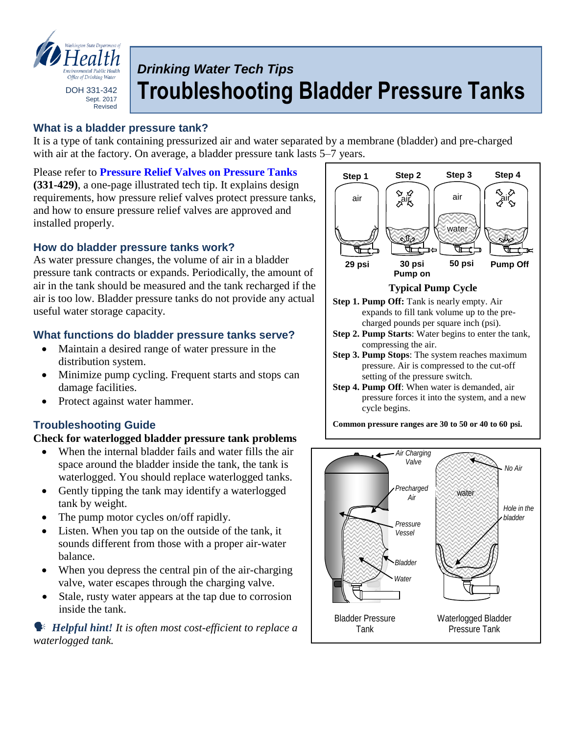

What is a *What* **bladder blad blad** Sept. 2017 Revised

# *Drinking Water Tech Tips* **Troubleshooting Bladder Pressure Tanks**

# **What is a bladder pressure tank?**

It is a type of tank containing pressurized air and water separated by a membrane (bladder) and pre-charged with air at the factory. On average, a bladder pressure tank lasts 5–7 years.

Please refer to **[Pressure Relief Valves on Pressure Tanks](http://www.doh.wa.gov/portals/1/Documents/pubs/331-429.pdf) (331-429)**, a one-page illustrated tech tip. It explains design requirements, how pressure relief valves protect pressure tanks, and how to ensure pressure relief valves are approved and installed properly.

# **How do bladder pressure tanks work?**

As water pressure changes, the volume of air in a bladder pressure tank contracts or expands. Periodically, the amount of air in the tank should be measured and the tank recharged if the air is too low. Bladder pressure tanks do not provide any actual useful water storage capacity.

#### **What functions do bladder pressure tanks serve?**

- Maintain a desired range of water pressure in the distribution system.
- Minimize pump cycling. Frequent starts and stops can damage facilities.
- Protect against water hammer.

# **Troubleshooting Guide**

#### **Check for waterlogged bladder pressure tank problems**

- When the internal bladder fails and water fills the air space around the bladder inside the tank, the tank is waterlogged. You should replace waterlogged tanks.
- Gently tipping the tank may identify a waterlogged tank by weight.
- The pump motor cycles on/off rapidly.
- Listen. When you tap on the outside of the tank, it sounds different from those with a proper air-water balance.
- When you depress the central pin of the air-charging valve, water escapes through the charging valve.
- Stale, rusty water appears at the tap due to corrosion inside the tank.

 *Helpful hint! It is often most cost-efficient to replace a waterlogged tank.*



#### **Step 1. Pump Off:** Tank is nearly empty. Air expands to fill tank volume up to the precharged pounds per square inch (psi).

- **Step 2. Pump Starts**: Water begins to enter the tank, compressing the air.
- **Step 3. Pump Stops**: The system reaches maximum pressure. Air is compressed to the cut-off setting of the pressure switch.
- **Step 4. Pump Off**: When water is demanded, air pressure forces it into the system, and a new cycle begins.

**Common pressure ranges are 30 to 50 or 40 to 60 psi.**